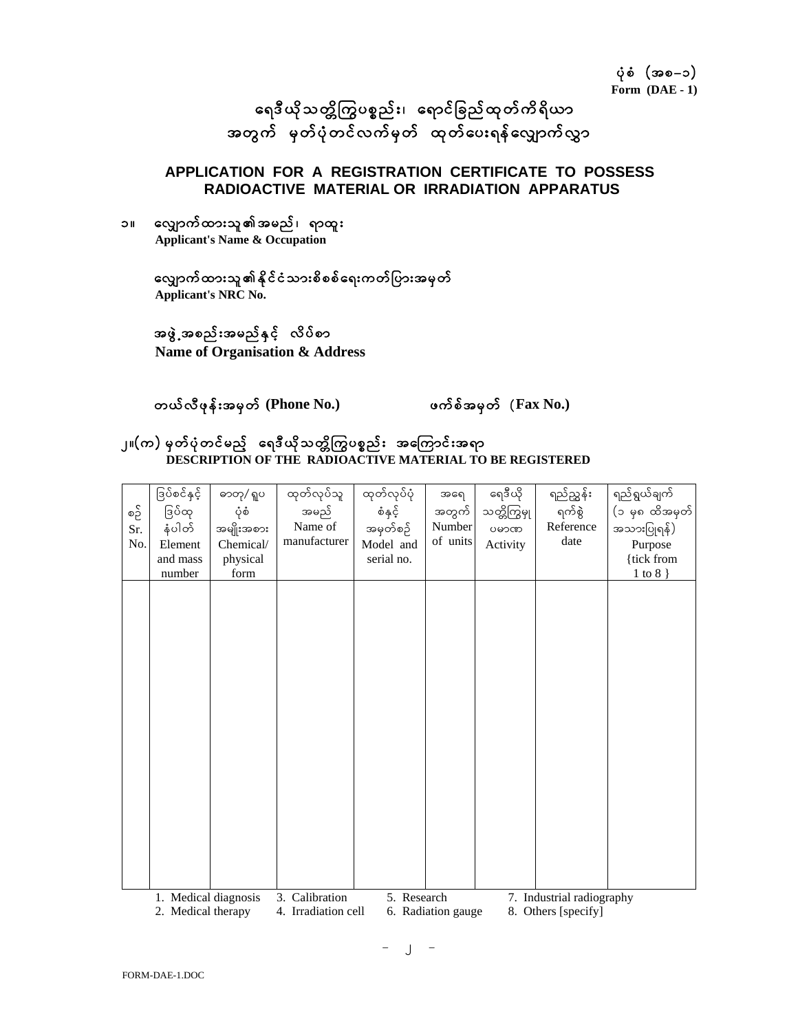ရေဒီယိုသတ္တိကြွပစ္စည်း၊ ရောင်ခြည်ထုတ်ကိရိယာ အတွက် မှတ်ပုံတင်လက်မှတ် ထုတ်ပေးရန်လျှောက်လွှာ

#### **APPLICATION FOR A REGISTRATION CERTIFICATE TO POSSESS RADIOACTIVE MATERIAL OR IRRADIATION APPARATUS**

၁။ လျှောက်ထားသူ၏အမည်၊ ရာထူး **Applicant's Name & Occupation** 

### လျှောက်ထားသူ၏နိုင်ငံသားစိစစ်ရေးကတ်ပြားအမှတ် **Applicant's NRC No.**

## အဖွဲ့ အစည်းအမည်နှင့် လိပ်စာ

 **Name of Organisation & Address** 

တယ်လီဖုန်းအမှတ် (Phone No.) **z**umphage ဖက်စ်အမှတ် (Fax No.)

#### ၂။(က) မှတ်ပုံတင်မည့် ရေဒီယိုသတ္တိကြွပစ္စည်း အကြောင်းအရာ **DESCRIPTION OF THE RADIOACTIVE MATERIAL TO BE REGISTERED**

|     | ဒြပ်စင်နှင့်                                                                           | ဓာတု/ ရူပ  | ထုတ်လုပ်သူ     | ထုတ်လုပ်ပုံ | အရေ         | ရေဒီယို     | ရည်ညွှန်း                 | ရည်ရွယ်ချက်    |
|-----|----------------------------------------------------------------------------------------|------------|----------------|-------------|-------------|-------------|---------------------------|----------------|
| စဥိ | ဒြပ်ထု                                                                                 | ပုံစံ      | အမည်           | စံနှင့်     | အတွက်       | သတ္တိကြွမှု | ရက်စွဲ                    | (၁ မှ၈ ထိအမှတ် |
| Sr. | နံပါတ်                                                                                 | အမျိုးအစား | Name of        | အမှတ်စဉ်    | Number      | ပမာဏ        | Reference                 | အသားပြုရန်)    |
| No. | Element                                                                                | Chemical/  | manufacturer   | Model and   | of units    | Activity    | date                      | Purpose        |
|     | and mass                                                                               | physical   |                | serial no.  |             |             |                           | {tick from     |
|     | number                                                                                 | form       |                |             |             |             |                           | $1$ to $8$ }   |
|     |                                                                                        |            |                |             |             |             |                           |                |
|     |                                                                                        |            |                |             |             |             |                           |                |
|     |                                                                                        |            |                |             |             |             |                           |                |
|     |                                                                                        |            |                |             |             |             |                           |                |
|     |                                                                                        |            |                |             |             |             |                           |                |
|     |                                                                                        |            |                |             |             |             |                           |                |
|     |                                                                                        |            |                |             |             |             |                           |                |
|     |                                                                                        |            |                |             |             |             |                           |                |
|     |                                                                                        |            |                |             |             |             |                           |                |
|     |                                                                                        |            |                |             |             |             |                           |                |
|     |                                                                                        |            |                |             |             |             |                           |                |
|     |                                                                                        |            |                |             |             |             |                           |                |
|     |                                                                                        |            |                |             |             |             |                           |                |
|     |                                                                                        |            |                |             |             |             |                           |                |
|     |                                                                                        |            |                |             |             |             |                           |                |
|     |                                                                                        |            |                |             |             |             |                           |                |
|     |                                                                                        |            |                |             |             |             |                           |                |
|     |                                                                                        |            |                |             |             |             |                           |                |
|     |                                                                                        |            |                |             |             |             |                           |                |
|     | 1. Medical diagnosis                                                                   |            | 3. Calibration |             | 5. Research |             | 7. Industrial radiography |                |
|     | 2. Medical therapy<br>4. Irradiation cell<br>6. Radiation gauge<br>8. Others [specify] |            |                |             |             |             |                           |                |